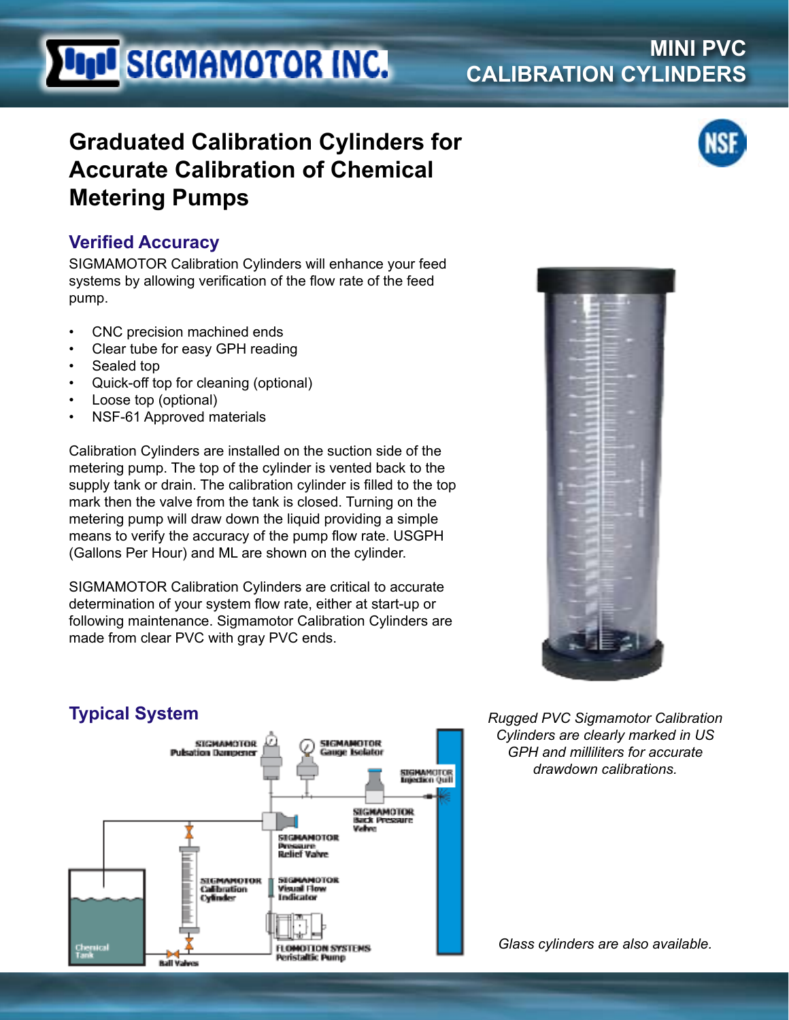# **UNI SIGMAMOTOR INC.**

### **MINI PVC CALIBRATION CYLINDERS**

## **Graduated Calibration Cylinders for Accurate Calibration of Chemical Metering Pumps**

#### **Verified Accuracy**

SIGMAMOTOR Calibration Cylinders will enhance your feed systems by allowing verification of the flow rate of the feed pump.

- CNC precision machined ends
- Clear tube for easy GPH reading
- Sealed top
- Quick-off top for cleaning (optional)
- Loose top (optional)
- NSF-61 Approved materials

Calibration Cylinders are installed on the suction side of the metering pump. The top of the cylinder is vented back to the supply tank or drain. The calibration cylinder is filled to the top mark then the valve from the tank is closed. Turning on the metering pump will draw down the liquid providing a simple means to verify the accuracy of the pump flow rate. USGPH (Gallons Per Hour) and ML are shown on the cylinder.

SIGMAMOTOR Calibration Cylinders are critical to accurate determination of your system flow rate, either at start-up or following maintenance. Sigmamotor Calibration Cylinders are made from clear PVC with gray PVC ends.



*Rugged PVC Sigmamotor Calibration Cylinders are clearly marked in US GPH and milliliters for accurate drawdown calibrations.*



*Glass cylinders are also available.*